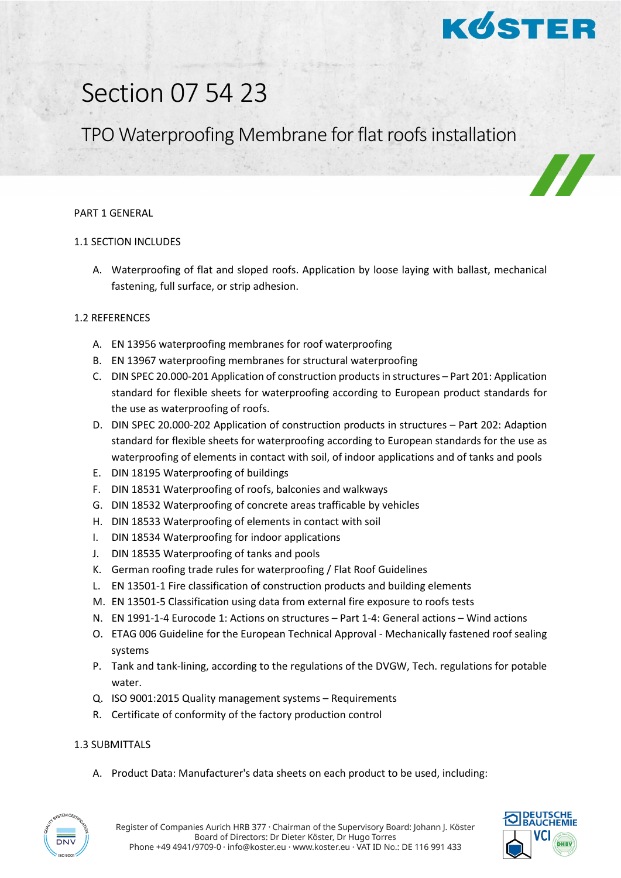

# Section 07 54 23

# TPO Waterproofing Membrane for flat roofs installation

#### PART 1 GENERAL

## 1.1 SECTION INCLUDES

A. Waterproofing of flat and sloped roofs. Application by loose laying with ballast, mechanical fastening, full surface, or strip adhesion.

## 1.2 REFERENCES

- A. EN 13956 waterproofing membranes for roof waterproofing
- B. EN 13967 waterproofing membranes for structural waterproofing
- C. DIN SPEC 20.000-201 Application of construction products in structures Part 201: Application standard for flexible sheets for waterproofing according to European product standards for the use as waterproofing of roofs.
- D. DIN SPEC 20.000-202 Application of construction products in structures Part 202: Adaption standard for flexible sheets for waterproofing according to European standards for the use as waterproofing of elements in contact with soil, of indoor applications and of tanks and pools
- E. DIN 18195 Waterproofing of buildings
- F. DIN 18531 Waterproofing of roofs, balconies and walkways
- G. DIN 18532 Waterproofing of concrete areas trafficable by vehicles
- H. DIN 18533 Waterproofing of elements in contact with soil
- I. DIN 18534 Waterproofing for indoor applications
- J. DIN 18535 Waterproofing of tanks and pools
- K. German roofing trade rules for waterproofing / Flat Roof Guidelines
- L. EN 13501-1 Fire classification of construction products and building elements
- M. EN 13501-5 Classification using data from external fire exposure to roofs tests
- N. EN 1991-1-4 Eurocode 1: Actions on structures Part 1-4: General actions Wind actions
- O. ETAG 006 Guideline for the European Technical Approval Mechanically fastened roof sealing systems
- P. Tank and tank-lining, according to the regulations of the DVGW, Tech. regulations for potable water.
- Q. ISO 9001:2015 Quality management systems Requirements
- R. Certificate of conformity of the factory production control

#### 1.3 SUBMITTALS

A. Product Data: Manufacturer's data sheets on each product to be used, including:



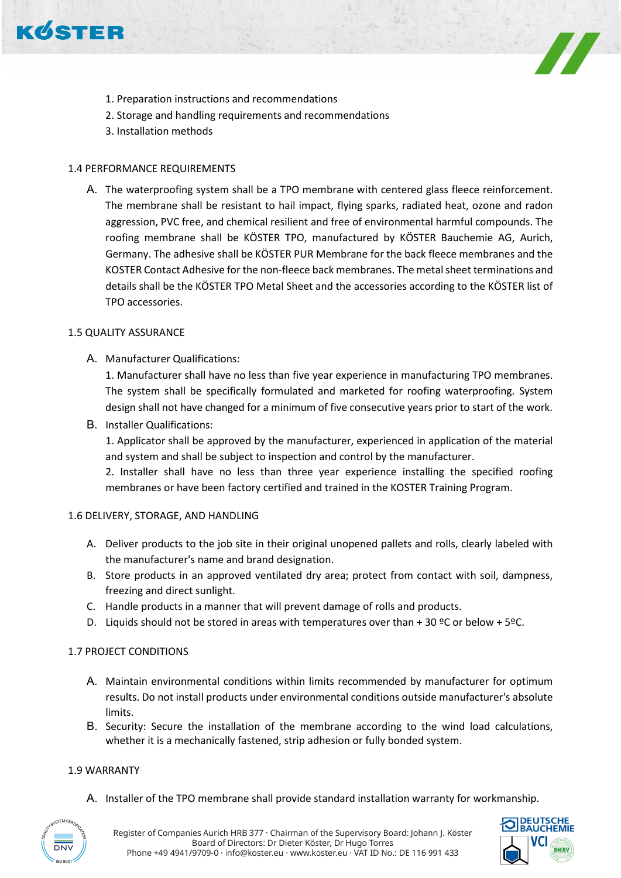



- 1. Preparation instructions and recommendations
- 2. Storage and handling requirements and recommendations
- 3. Installation methods

# 1.4 PERFORMANCE REQUIREMENTS

A. The waterproofing system shall be a TPO membrane with centered glass fleece reinforcement. The membrane shall be resistant to hail impact, flying sparks, radiated heat, ozone and radon aggression, PVC free, and chemical resilient and free of environmental harmful compounds. The roofing membrane shall be KÖSTER TPO, manufactured by KÖSTER Bauchemie AG, Aurich, Germany. The adhesive shall be KÖSTER PUR Membrane for the back fleece membranes and the KOSTER Contact Adhesive for the non-fleece back membranes. The metal sheet terminations and details shall be the KÖSTER TPO Metal Sheet and the accessories according to the KÖSTER list of TPO accessories.

# 1.5 QUALITY ASSURANCE

A. Manufacturer Qualifications:

1. Manufacturer shall have no less than five year experience in manufacturing TPO membranes. The system shall be specifically formulated and marketed for roofing waterproofing. System design shall not have changed for a minimum of five consecutive years prior to start of the work.

B. Installer Qualifications:

1. Applicator shall be approved by the manufacturer, experienced in application of the material and system and shall be subject to inspection and control by the manufacturer.

2. Installer shall have no less than three year experience installing the specified roofing membranes or have been factory certified and trained in the KOSTER Training Program.

# 1.6 DELIVERY, STORAGE, AND HANDLING

- A. Deliver products to the job site in their original unopened pallets and rolls, clearly labeled with the manufacturer's name and brand designation.
- B. Store products in an approved ventilated dry area; protect from contact with soil, dampness, freezing and direct sunlight.
- C. Handle products in a manner that will prevent damage of rolls and products.
- D. Liquids should not be stored in areas with temperatures over than + 30  $°C$  or below + 5°C.

# 1.7 PROJECT CONDITIONS

- A. Maintain environmental conditions within limits recommended by manufacturer for optimum results. Do not install products under environmental conditions outside manufacturer's absolute limits.
- B. Security: Secure the installation of the membrane according to the wind load calculations, whether it is a mechanically fastened, strip adhesion or fully bonded system.

# 1.9 WARRANTY

A. Installer of the TPO membrane shall provide standard installation warranty for workmanship.



**DEUTSCHE**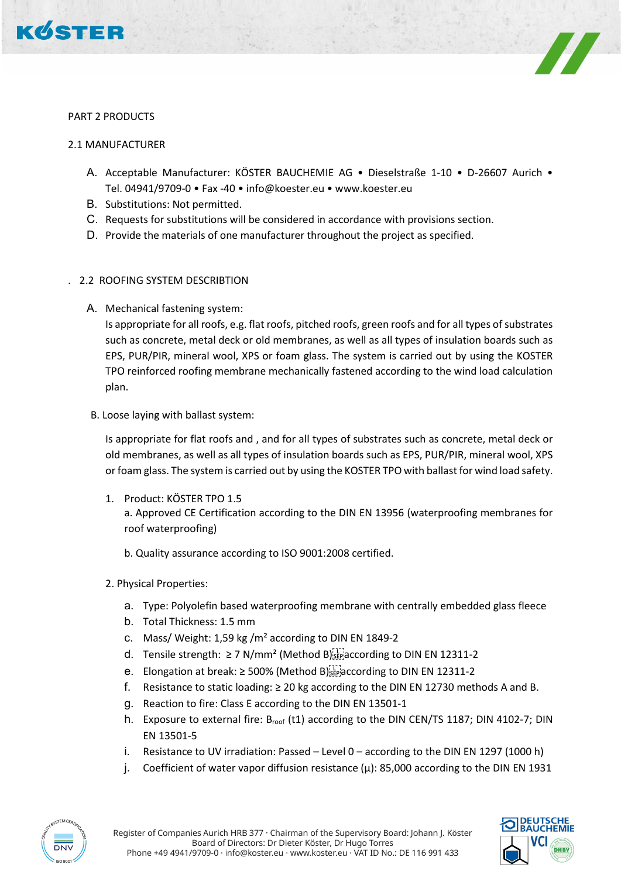



#### PART 2 PRODUCTS

#### 2.1 MANUFACTURER

- A. Acceptable Manufacturer: KÖSTER BAUCHEMIE AG Dieselstraße 1-10 D-26607 Aurich Tel. 04941/9709-0 • Fax -40 • info@koester.eu • www.koester.eu
- B. Substitutions: Not permitted.
- C. Requests for substitutions will be considered in accordance with provisions section.
- D. Provide the materials of one manufacturer throughout the project as specified.

# . 2.2 ROOFING SYSTEM DESCRIBTION

A. Mechanical fastening system:

Is appropriate for all roofs, e.g. flat roofs, pitched roofs, green roofs and for all types of substrates such as concrete, metal deck or old membranes, as well as all types of insulation boards such as EPS, PUR/PIR, mineral wool, XPS or foam glass. The system is carried out by using the KOSTER TPO reinforced roofing membrane mechanically fastened according to the wind load calculation plan.

B. Loose laying with ballast system:

Is appropriate for flat roofs and , and for all types of substrates such as concrete, metal deck or old membranes, as well as all types of insulation boards such as EPS, PUR/PIR, mineral wool, XPS or foam glass. The system is carried out by using the KOSTER TPO with ballast for wind load safety.

1. Product: KÖSTER TPO 1.5 a. Approved CE Certification according to the DIN EN 13956 (waterproofing membranes for roof waterproofing)

b. Quality assurance according to ISO 9001:2008 certified.

- 2. Physical Properties:
	- a. Type: Polyolefin based waterproofing membrane with centrally embedded glass fleece
	- b. Total Thickness: 1.5 mm
	- c. Mass/ Weight: 1,59 kg /m<sup>2</sup> according to DIN EN 1849-2
	- d. Tensile strength: ≥ 7 N/mm<sup>2</sup> (Method B)<sup>[17</sup>]<sup>2</sup> according to DIN EN 12311-2
	- e. Elongation at break: ≥ 500% (Method B) $_{s\bar{t}}^{[1]}$  according to DIN EN 12311-2
	- f. Resistance to static loading:  $\geq$  20 kg according to the DIN EN 12730 methods A and B.
	- g. Reaction to fire: Class E according to the DIN EN 13501-1
	- h. Exposure to external fire: B<sub>roof</sub> (t1) according to the DIN CEN/TS 1187; DIN 4102-7; DIN EN 13501-5
	- i. Resistance to UV irradiation: Passed Level 0 according to the DIN EN 1297 (1000 h)
	- j. Coefficient of water vapor diffusion resistance (μ): 85,000 according to the DIN EN 1931



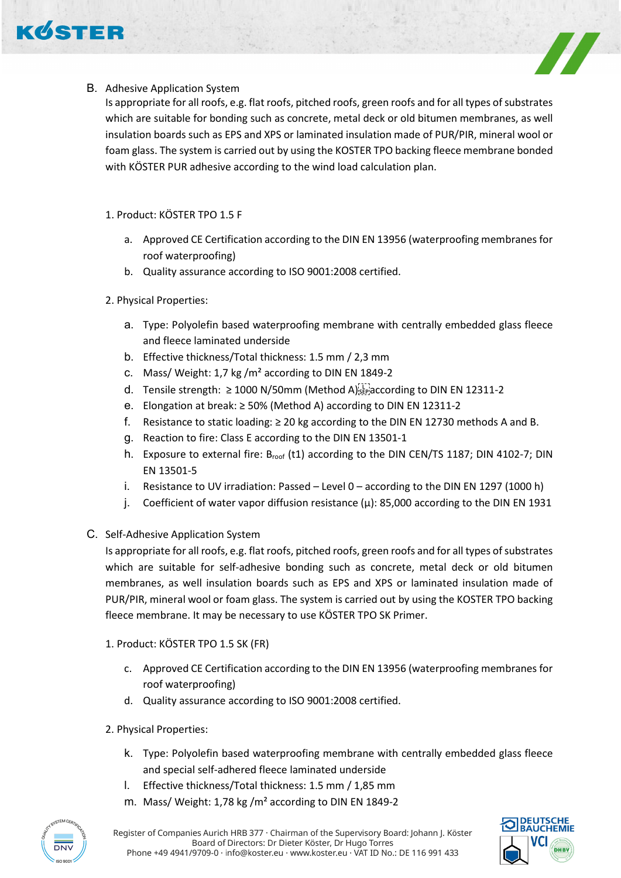

# B. Adhesive Application System

Is appropriate for all roofs, e.g. flat roofs, pitched roofs, green roofs and for all types of substrates which are suitable for bonding such as concrete, metal deck or old bitumen membranes, as well insulation boards such as EPS and XPS or laminated insulation made of PUR/PIR, mineral wool or foam glass. The system is carried out by using the KOSTER TPO backing fleece membrane bonded with KÖSTER PUR adhesive according to the wind load calculation plan.

# 1. Product: KÖSTER TPO 1.5 F

- a. Approved CE Certification according to the DIN EN 13956 (waterproofing membranes for roof waterproofing)
- b. Quality assurance according to ISO 9001:2008 certified.

# 2. Physical Properties:

- a. Type: Polyolefin based waterproofing membrane with centrally embedded glass fleece and fleece laminated underside
- b. Effective thickness/Total thickness: 1.5 mm / 2,3 mm
- c. Mass/ Weight: 1,7 kg /m² according to DIN EN 1849-2
- d. Tensile strength: ≥ 1000 N/50mm (Method A) $_{S_2P_1}^{[1]}$  according to DIN EN 12311-2
- e. Elongation at break: ≥ 50% (Method A) according to DIN EN 12311-2
- f. Resistance to static loading: ≥ 20 kg according to the DIN EN 12730 methods A and B.
- g. Reaction to fire: Class E according to the DIN EN 13501-1
- h. Exposure to external fire: B<sub>roof</sub> (t1) according to the DIN CEN/TS 1187; DIN 4102-7; DIN EN 13501-5
- i. Resistance to UV irradiation: Passed Level 0 according to the DIN EN 1297 (1000 h)
- j. Coefficient of water vapor diffusion resistance (μ): 85,000 according to the DIN EN 1931

# C. Self-Adhesive Application System

Is appropriate for all roofs, e.g. flat roofs, pitched roofs, green roofs and for all types of substrates which are suitable for self-adhesive bonding such as concrete, metal deck or old bitumen membranes, as well insulation boards such as EPS and XPS or laminated insulation made of PUR/PIR, mineral wool or foam glass. The system is carried out by using the KOSTER TPO backing fleece membrane. It may be necessary to use KÖSTER TPO SK Primer.

- 1. Product: KÖSTER TPO 1.5 SK (FR)
	- c. Approved CE Certification according to the DIN EN 13956 (waterproofing membranes for roof waterproofing)
	- d. Quality assurance according to ISO 9001:2008 certified.
- 2. Physical Properties:
	- k. Type: Polyolefin based waterproofing membrane with centrally embedded glass fleece and special self-adhered fleece laminated underside
	- l. Effective thickness/Total thickness: 1.5 mm / 1,85 mm
	- m. Mass/ Weight: 1,78 kg /m² according to DIN EN 1849-2



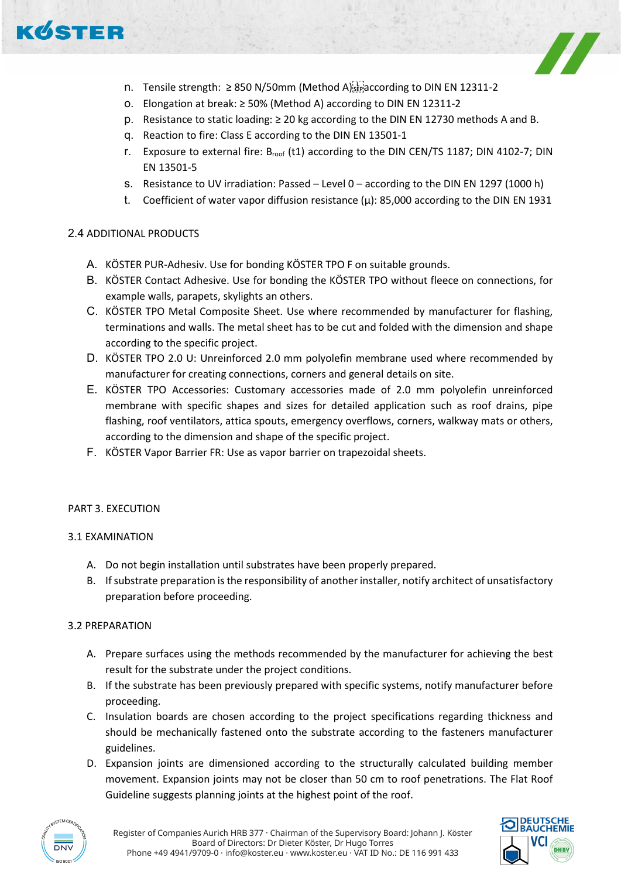



- n. Tensile strength:  $\geq 850$  N/50mm (Method A) $_{\rm sFe}^{[17]}$  according to DIN EN 12311-2
- o. Elongation at break: ≥ 50% (Method A) according to DIN EN 12311-2
- p. Resistance to static loading: ≥ 20 kg according to the DIN EN 12730 methods A and B.
- q. Reaction to fire: Class E according to the DIN EN 13501-1
- r. Exposure to external fire: Broof (t1) according to the DIN CEN/TS 1187; DIN 4102-7; DIN EN 13501-5
- s. Resistance to UV irradiation: Passed Level 0 according to the DIN EN 1297 (1000 h)
- t. Coefficient of water vapor diffusion resistance (μ): 85,000 according to the DIN EN 1931

#### 2.4 ADDITIONAL PRODUCTS

- A. KÖSTER PUR-Adhesiv. Use for bonding KÖSTER TPO F on suitable grounds.
- B. KÖSTER Contact Adhesive. Use for bonding the KÖSTER TPO without fleece on connections, for example walls, parapets, skylights an others.
- C. KÖSTER TPO Metal Composite Sheet. Use where recommended by manufacturer for flashing, terminations and walls. The metal sheet has to be cut and folded with the dimension and shape according to the specific project.
- D. KÖSTER TPO 2.0 U: Unreinforced 2.0 mm polyolefin membrane used where recommended by manufacturer for creating connections, corners and general details on site.
- E. KÖSTER TPO Accessories: Customary accessories made of 2.0 mm polyolefin unreinforced membrane with specific shapes and sizes for detailed application such as roof drains, pipe flashing, roof ventilators, attica spouts, emergency overflows, corners, walkway mats or others, according to the dimension and shape of the specific project.
- F. KÖSTER Vapor Barrier FR: Use as vapor barrier on trapezoidal sheets.

#### PART 3. EXECUTION

#### 3.1 EXAMINATION

- A. Do not begin installation until substrates have been properly prepared.
- B. If substrate preparation is the responsibility of another installer, notify architect of unsatisfactory preparation before proceeding.

#### 3.2 PREPARATION

- A. Prepare surfaces using the methods recommended by the manufacturer for achieving the best result for the substrate under the project conditions.
- B. If the substrate has been previously prepared with specific systems, notify manufacturer before proceeding.
- C. Insulation boards are chosen according to the project specifications regarding thickness and should be mechanically fastened onto the substrate according to the fasteners manufacturer guidelines.
- D. Expansion joints are dimensioned according to the structurally calculated building member movement. Expansion joints may not be closer than 50 cm to roof penetrations. The Flat Roof Guideline suggests planning joints at the highest point of the roof.



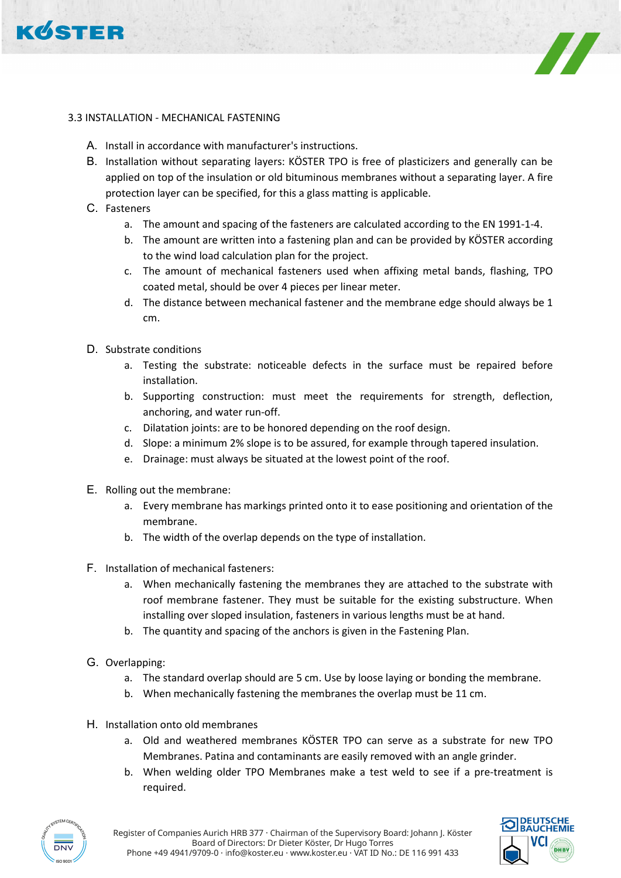



## 3.3 INSTALLATION - MECHANICAL FASTENING

- A. Install in accordance with manufacturer's instructions.
- B. Installation without separating layers: KÖSTER TPO is free of plasticizers and generally can be applied on top of the insulation or old bituminous membranes without a separating layer. A fire protection layer can be specified, for this a glass matting is applicable.
- C. Fasteners
	- a. The amount and spacing of the fasteners are calculated according to the EN 1991-1-4.
	- b. The amount are written into a fastening plan and can be provided by KÖSTER according to the wind load calculation plan for the project.
	- c. The amount of mechanical fasteners used when affixing metal bands, flashing, TPO coated metal, should be over 4 pieces per linear meter.
	- d. The distance between mechanical fastener and the membrane edge should always be 1 cm.
- D. Substrate conditions
	- a. Testing the substrate: noticeable defects in the surface must be repaired before installation.
	- b. Supporting construction: must meet the requirements for strength, deflection, anchoring, and water run-off.
	- c. Dilatation joints: are to be honored depending on the roof design.
	- d. Slope: a minimum 2% slope is to be assured, for example through tapered insulation.
	- e. Drainage: must always be situated at the lowest point of the roof.
- E. Rolling out the membrane:
	- a. Every membrane has markings printed onto it to ease positioning and orientation of the membrane.
	- b. The width of the overlap depends on the type of installation.
- F. Installation of mechanical fasteners:
	- a. When mechanically fastening the membranes they are attached to the substrate with roof membrane fastener. They must be suitable for the existing substructure. When installing over sloped insulation, fasteners in various lengths must be at hand.
	- b. The quantity and spacing of the anchors is given in the Fastening Plan.
- G. Overlapping:
	- a. The standard overlap should are 5 cm. Use by loose laying or bonding the membrane.
	- b. When mechanically fastening the membranes the overlap must be 11 cm.
- H. Installation onto old membranes
	- a. Old and weathered membranes KÖSTER TPO can serve as a substrate for new TPO Membranes. Patina and contaminants are easily removed with an angle grinder.
	- b. When welding older TPO Membranes make a test weld to see if a pre-treatment is required.



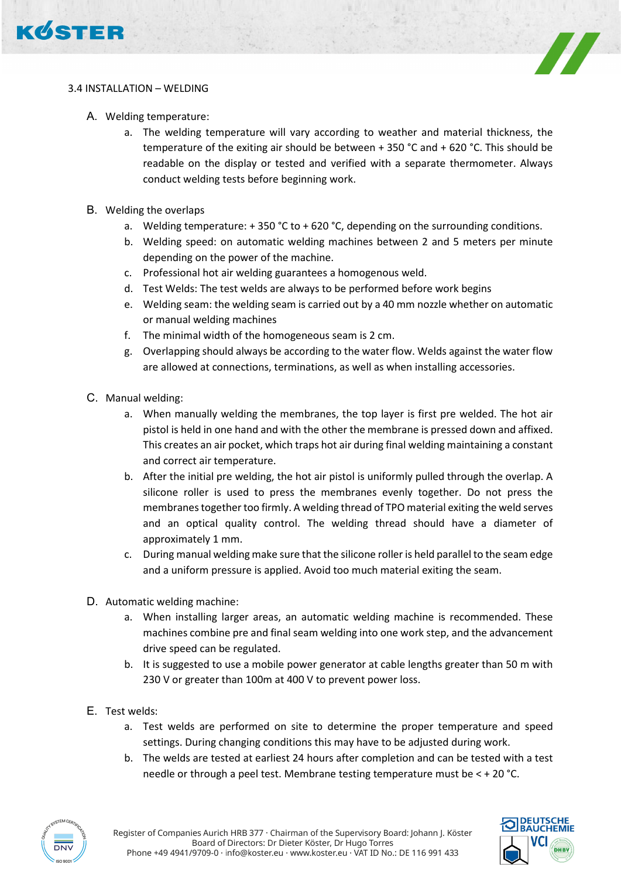



## 3.4 INSTALLATION – WELDING

- A. Welding temperature:
	- a. The welding temperature will vary according to weather and material thickness, the temperature of the exiting air should be between + 350 °C and + 620 °C. This should be readable on the display or tested and verified with a separate thermometer. Always conduct welding tests before beginning work.
- B. Welding the overlaps
	- a. Welding temperature:  $+350$  °C to  $+620$  °C, depending on the surrounding conditions.
	- b. Welding speed: on automatic welding machines between 2 and 5 meters per minute depending on the power of the machine.
	- c. Professional hot air welding guarantees a homogenous weld.
	- d. Test Welds: The test welds are always to be performed before work begins
	- e. Welding seam: the welding seam is carried out by a 40 mm nozzle whether on automatic or manual welding machines
	- f. The minimal width of the homogeneous seam is 2 cm.
	- g. Overlapping should always be according to the water flow. Welds against the water flow are allowed at connections, terminations, as well as when installing accessories.
- C. Manual welding:
	- a. When manually welding the membranes, the top layer is first pre welded. The hot air pistol is held in one hand and with the other the membrane is pressed down and affixed. This creates an air pocket, which traps hot air during final welding maintaining a constant and correct air temperature.
	- b. After the initial pre welding, the hot air pistol is uniformly pulled through the overlap. A silicone roller is used to press the membranes evenly together. Do not press the membranes together too firmly. A welding thread of TPO material exiting the weld serves and an optical quality control. The welding thread should have a diameter of approximately 1 mm.
	- c. During manual welding make sure that the silicone roller is held parallel to the seam edge and a uniform pressure is applied. Avoid too much material exiting the seam.
- D. Automatic welding machine:
	- a. When installing larger areas, an automatic welding machine is recommended. These machines combine pre and final seam welding into one work step, and the advancement drive speed can be regulated.
	- b. It is suggested to use a mobile power generator at cable lengths greater than 50 m with 230 V or greater than 100m at 400 V to prevent power loss.
- E. Test welds:
	- a. Test welds are performed on site to determine the proper temperature and speed settings. During changing conditions this may have to be adjusted during work.
	- b. The welds are tested at earliest 24 hours after completion and can be tested with a test needle or through a peel test. Membrane testing temperature must be < + 20 °C.



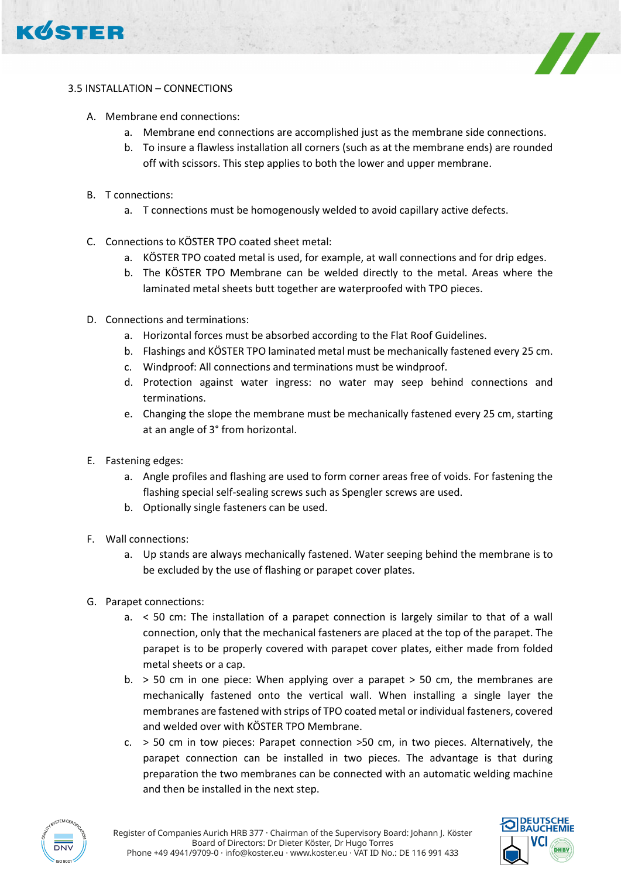



# 3.5 INSTALLATION – CONNECTIONS

- A. Membrane end connections:
	- a. Membrane end connections are accomplished just as the membrane side connections.
	- b. To insure a flawless installation all corners (such as at the membrane ends) are rounded off with scissors. This step applies to both the lower and upper membrane.
- B. T connections:
	- a. T connections must be homogenously welded to avoid capillary active defects.
- C. Connections to KÖSTER TPO coated sheet metal:
	- a. KÖSTER TPO coated metal is used, for example, at wall connections and for drip edges.
	- b. The KÖSTER TPO Membrane can be welded directly to the metal. Areas where the laminated metal sheets butt together are waterproofed with TPO pieces.
- D. Connections and terminations:
	- a. Horizontal forces must be absorbed according to the Flat Roof Guidelines.
	- b. Flashings and KÖSTER TPO laminated metal must be mechanically fastened every 25 cm.
	- c. Windproof: All connections and terminations must be windproof.
	- d. Protection against water ingress: no water may seep behind connections and terminations.
	- e. Changing the slope the membrane must be mechanically fastened every 25 cm, starting at an angle of 3° from horizontal.
- E. Fastening edges:
	- a. Angle profiles and flashing are used to form corner areas free of voids. For fastening the flashing special self-sealing screws such as Spengler screws are used.
	- b. Optionally single fasteners can be used.
- F. Wall connections:
	- a. Up stands are always mechanically fastened. Water seeping behind the membrane is to be excluded by the use of flashing or parapet cover plates.
- G. Parapet connections:
	- a. < 50 cm: The installation of a parapet connection is largely similar to that of a wall connection, only that the mechanical fasteners are placed at the top of the parapet. The parapet is to be properly covered with parapet cover plates, either made from folded metal sheets or a cap.
	- b.  $>$  50 cm in one piece: When applying over a parapet  $>$  50 cm, the membranes are mechanically fastened onto the vertical wall. When installing a single layer the membranes are fastened with strips of TPO coated metal or individual fasteners, covered and welded over with KÖSTER TPO Membrane.
	- c. > 50 cm in tow pieces: Parapet connection >50 cm, in two pieces. Alternatively, the parapet connection can be installed in two pieces. The advantage is that during preparation the two membranes can be connected with an automatic welding machine and then be installed in the next step.



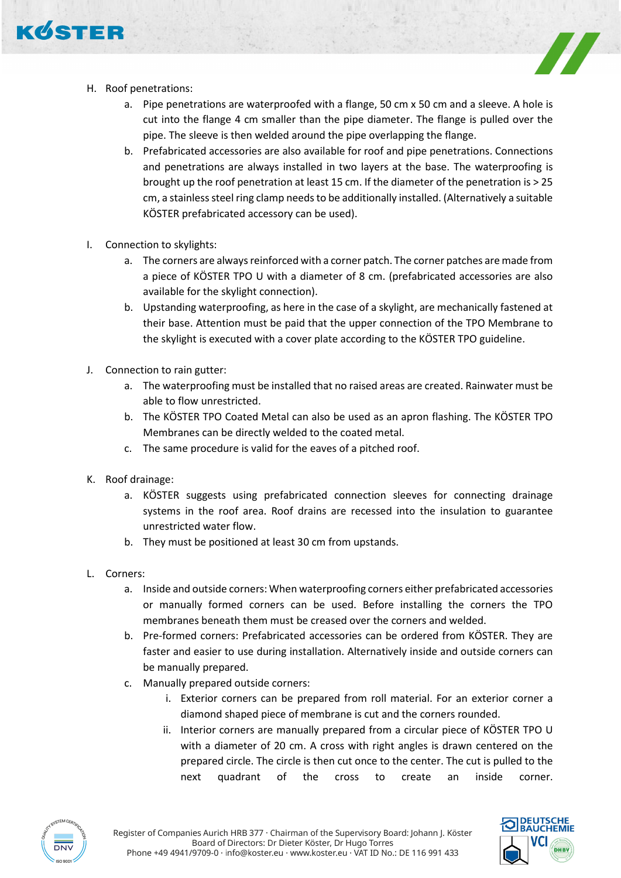

- H. Roof penetrations:
	- a. Pipe penetrations are waterproofed with a flange, 50 cm x 50 cm and a sleeve. A hole is cut into the flange 4 cm smaller than the pipe diameter. The flange is pulled over the pipe. The sleeve is then welded around the pipe overlapping the flange.
	- b. Prefabricated accessories are also available for roof and pipe penetrations. Connections and penetrations are always installed in two layers at the base. The waterproofing is brought up the roof penetration at least 15 cm. If the diameter of the penetration is > 25 cm, a stainless steel ring clamp needs to be additionally installed. (Alternatively a suitable KÖSTER prefabricated accessory can be used).
- I. Connection to skylights:
	- a. The corners are always reinforced with a corner patch. The corner patches are made from a piece of KÖSTER TPO U with a diameter of 8 cm. (prefabricated accessories are also available for the skylight connection).
	- b. Upstanding waterproofing, as here in the case of a skylight, are mechanically fastened at their base. Attention must be paid that the upper connection of the TPO Membrane to the skylight is executed with a cover plate according to the KÖSTER TPO guideline.
- J. Connection to rain gutter:
	- a. The waterproofing must be installed that no raised areas are created. Rainwater must be able to flow unrestricted.
	- b. The KÖSTER TPO Coated Metal can also be used as an apron flashing. The KÖSTER TPO Membranes can be directly welded to the coated metal.
	- c. The same procedure is valid for the eaves of a pitched roof.
- K. Roof drainage:
	- a. KÖSTER suggests using prefabricated connection sleeves for connecting drainage systems in the roof area. Roof drains are recessed into the insulation to guarantee unrestricted water flow.
	- b. They must be positioned at least 30 cm from upstands.
- L. Corners:
	- a. Inside and outside corners: When waterproofing corners either prefabricated accessories or manually formed corners can be used. Before installing the corners the TPO membranes beneath them must be creased over the corners and welded.
	- b. Pre-formed corners: Prefabricated accessories can be ordered from KÖSTER. They are faster and easier to use during installation. Alternatively inside and outside corners can be manually prepared.
	- c. Manually prepared outside corners:
		- i. Exterior corners can be prepared from roll material. For an exterior corner a diamond shaped piece of membrane is cut and the corners rounded.
		- ii. Interior corners are manually prepared from a circular piece of KÖSTER TPO U with a diameter of 20 cm. A cross with right angles is drawn centered on the prepared circle. The circle is then cut once to the center. The cut is pulled to the next quadrant of the cross to create an inside corner.